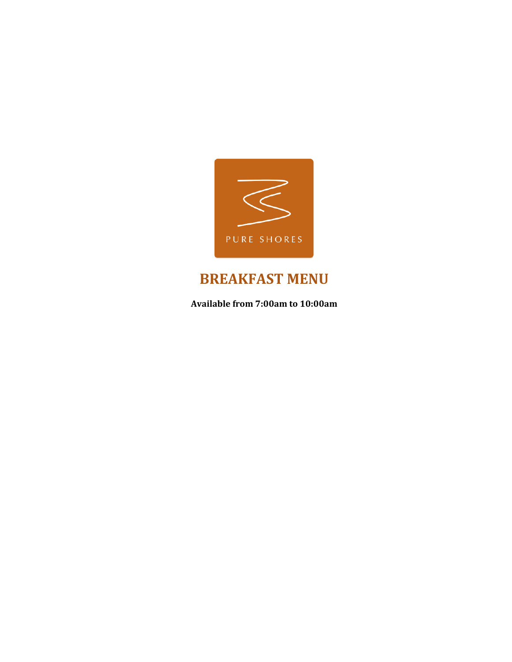

# **BREAKFAST MENU**

Available from 7:00am to 10:00am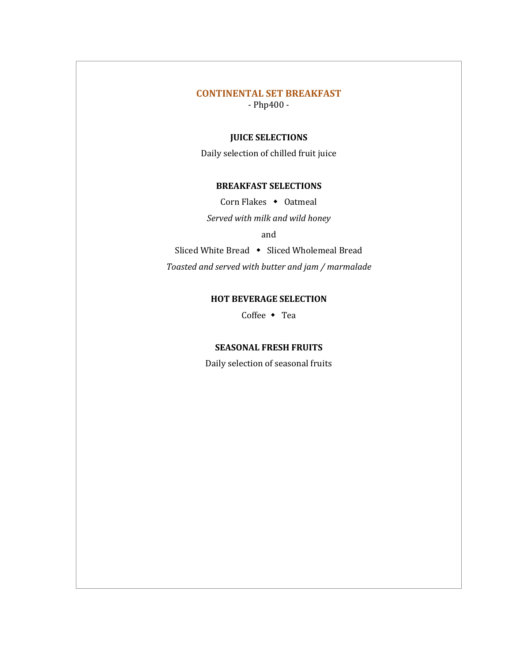### **CONTINENTAL SET BREAKFAST**

 $-$  Php400 $-$ 

#### **JUICE SELECTIONS**

Daily selection of chilled fruit juice

#### **BREAKFAST SELECTIONS**

Corn Flakes  $\bullet$  Oatmeal

*Served with milk and wild honey*

and

Sliced White Bread  $\leftrightarrow$  Sliced Wholemeal Bread *Toasted and served with butter and jam / marmalade*

#### **HOT BEVERAGE SELECTION**

Coffee  $\bullet$  Tea

#### **SEASONAL FRESH FRUITS**

Daily selection of seasonal fruits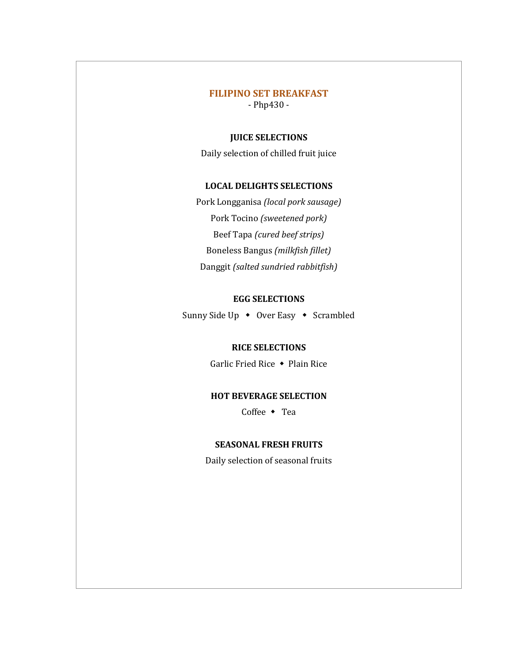### **FILIPINO SET BREAKFAST**

 $-$  Php430 $-$ 

#### **JUICE SELECTIONS**

Daily selection of chilled fruit juice

#### **LOCAL DELIGHTS SELECTIONS**

Pork Longganisa *(local pork sausage)* Pork Tocino *(sweetened pork)* Beef Tapa *(cured beef strips)* Boneless Bangus *(milkfish fillet)* Danggit (salted sundried rabbitfish)

#### **EGG SELECTIONS**

Sunny Side Up  $\leftrightarrow$  Over Easy  $\leftrightarrow$  Scrambled

#### **RICE SELECTIONS**

Garlic Fried Rice  $\triangle$  Plain Rice

#### **HOT BEVERAGE SELECTION**

Coffee  $\bullet$  Tea

#### **SEASONAL FRESH FRUITS**

Daily selection of seasonal fruits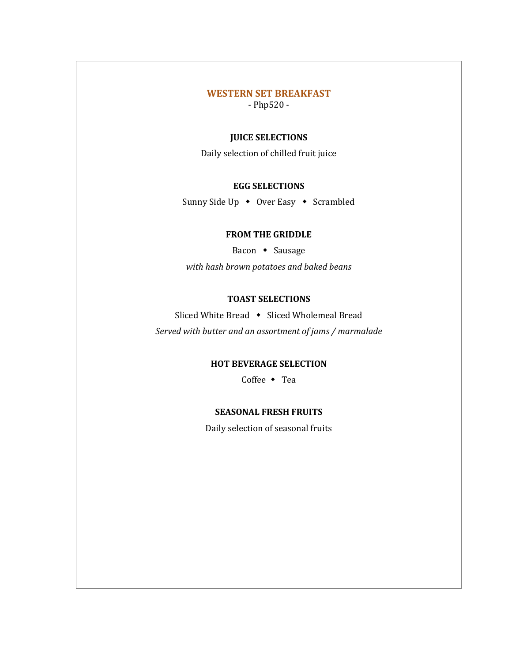#### **WESTERN SET BREAKFAST**

 $-$  Php520 $-$ 

#### **JUICE SELECTIONS**

Daily selection of chilled fruit juice

#### **EGG SELECTIONS**

Sunny Side Up  $\rightarrow$  Over Easy  $\rightarrow$  Scrambled

#### **FROM THE GRIDDLE**

Bacon • Sausage *with hash brown potatoes and baked beans*

#### **TOAST SELECTIONS**

Sliced White Bread • Sliced Wholemeal Bread

Served with butter and an assortment of jams / marmalade

#### **HOT BEVERAGE SELECTION**

Coffee  $\bullet$  Tea

#### **SEASONAL FRESH FRUITS**

Daily selection of seasonal fruits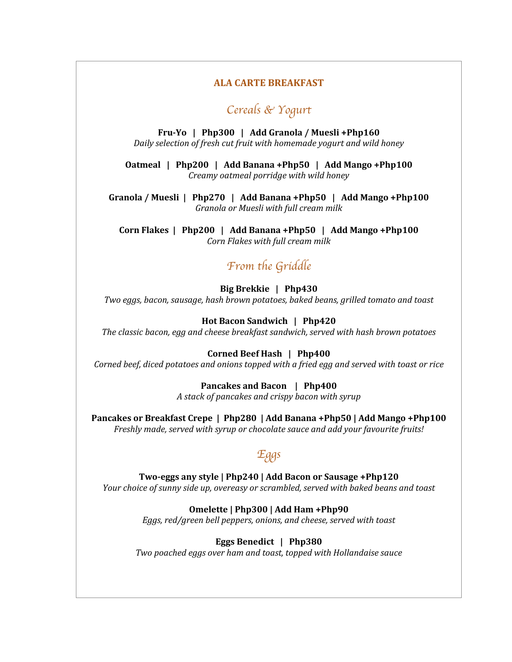#### **ALA CARTE BREAKFAST**

### Cereals & Yogurt

**Fru-Yo** | Php300 | Add Granola / Muesli +Php160 *Daily selection of fresh cut fruit with homemade yogurt and wild honey* 

**Oatmeal** | Php200 | Add Banana +Php50 | Add Mango +Php100 *Creamy oatmeal porridge with wild honey*

Granola / Muesli | Php270 | Add Banana +Php50 | Add Mango +Php100 *Granola or Muesli with full cream milk*

Corn Flakes | Php200 | Add Banana +Php50 | Add Mango +Php100 *Corn Flakes with full cream milk*

### From the Griddle

**Big Brekkie | Php430** 

*Two eggs, bacon, sausage, hash brown potatoes, baked beans, grilled tomato and toast* 

Hot Bacon Sandwich | Php420

The classic bacon, egg and cheese breakfast sandwich, served with hash brown potatoes

**Corned Beef Hash | Php400** 

*Corned beef, diced potatoes and onions topped with a fried egg and served with toast or rice* 

**Pancakes and Bacon | Php400** *A stack of pancakes and crispy bacon with syrup*

Pancakes or Breakfast Crepe | Php280 | Add Banana +Php50 | Add Mango +Php100 Freshly made, served with syrup or chocolate sauce and add your favourite fruits!

### Eggs

Two-eggs any style | Php240 | Add Bacon or Sausage +Php120 *Your choice of sunny side up, overeasy or scrambled, served with baked beans and toast* 

#### **Omelette | Php300 | Add Ham +Php90**

*Eggs, red/green bell peppers, onions, and cheese, served with toast* 

**Eggs Benedict | Php380** 

*Two poached eggs over ham and toast, topped with Hollandaise sauce*